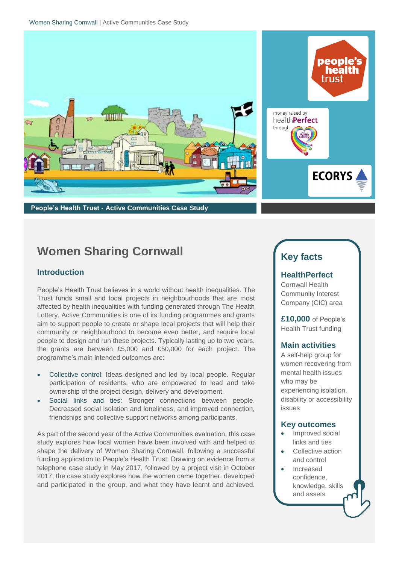

**People's Health Trust** - **Active Communities Case Study**

# **ECORYS**

people's health trust

# **Women Sharing Cornwall**

## **Introduction**

People's Health Trust believes in a world without health inequalities. The Trust funds small and local projects in neighbourhoods that are most affected by health inequalities with funding generated through The Health Lottery. Active Communities is one of its funding programmes and grants aim to support people to create or shape local projects that will help their community or neighbourhood to become even better, and require local people to design and run these projects. Typically lasting up to two years, the grants are between £5,000 and £50,000 for each project. The programme's main intended outcomes are:

- Collective control: Ideas designed and led by local people. Regular participation of residents, who are empowered to lead and take ownership of the project design, delivery and development.
- Social links and ties: Stronger connections between people. Decreased social isolation and loneliness, and improved connection, friendships and collective support networks among participants.

As part of the second year of the Active Communities evaluation, this case study explores how local women have been involved with and helped to shape the delivery of Women Sharing Cornwall, following a successful funding application to People's Health Trust. Drawing on evidence from a telephone case study in May 2017, followed by a project visit in October 2017, the case study explores how the women came together, developed and participated in the group, and what they have learnt and achieved.

# **Key facts**

## **HealthPerfect**

Cornwall Health Community Interest Company (CIC) area

**£10,000** of People's Health Trust funding

# **Main activities**

A self-help group for women recovering from mental health issues who may be experiencing isolation, disability or accessibility issues

### **Key outcomes**

- Improved social links and ties
- Collective action and control
- Increased confidence, knowledge, skills and assets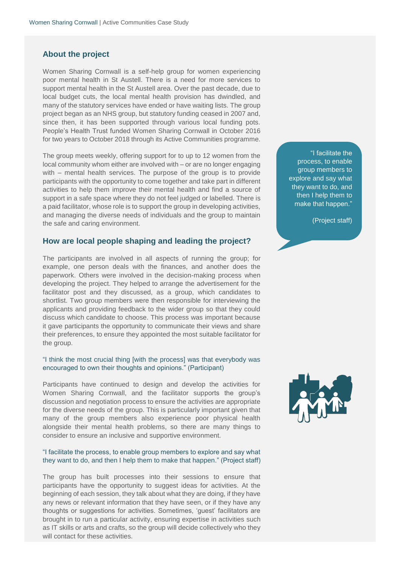#### **About the project**

Women Sharing Cornwall is a self-help group for women experiencing poor mental health in St Austell. There is a need for more services to support mental health in the St Austell area. Over the past decade, due to local budget cuts, the local mental health provision has dwindled, and many of the statutory services have ended or have waiting lists. The group project began as an NHS group, but statutory funding ceased in 2007 and, since then, it has been supported through various local funding pots. People's Health Trust funded Women Sharing Cornwall in October 2016 for two years to October 2018 through its Active Communities programme.

The group meets weekly, offering support for to up to 12 women from the local community whom either are involved with – or are no longer engaging with – mental health services. The purpose of the group is to provide participants with the opportunity to come together and take part in different activities to help them improve their mental health and find a source of support in a safe space where they do not feel judged or labelled. There is a paid facilitator, whose role is to support the group in developing activities, and managing the diverse needs of individuals and the group to maintain the safe and caring environment.

#### **How are local people shaping and leading the project?**

The participants are involved in all aspects of running the group; for example, one person deals with the finances, and another does the paperwork. Others were involved in the decision-making process when developing the project. They helped to arrange the advertisement for the facilitator post and they discussed, as a group, which candidates to shortlist. Two group members were then responsible for interviewing the applicants and providing feedback to the wider group so that they could discuss which candidate to choose. This process was important because it gave participants the opportunity to communicate their views and share their preferences, to ensure they appointed the most suitable facilitator for the group.

#### "I think the most crucial thing [with the process] was that everybody was encouraged to own their thoughts and opinions." (Participant)

Participants have continued to design and develop the activities for Women Sharing Cornwall, and the facilitator supports the group's discussion and negotiation process to ensure the activities are appropriate for the diverse needs of the group. This is particularly important given that many of the group members also experience poor physical health alongside their mental health problems, so there are many things to consider to ensure an inclusive and supportive environment.

#### "I facilitate the process, to enable group members to explore and say what they want to do, and then I help them to make that happen." (Project staff)

The group has built processes into their sessions to ensure that participants have the opportunity to suggest ideas for activities. At the beginning of each session, they talk about what they are doing, if they have any news or relevant information that they have seen, or if they have any thoughts or suggestions for activities. Sometimes, 'guest' facilitators are brought in to run a particular activity, ensuring expertise in activities such as IT skills or arts and crafts, so the group will decide collectively who they will contact for these activities.

"I facilitate the process, to enable group members to explore and say what they want to do, and then I help them to make that happen."

(Project staff)

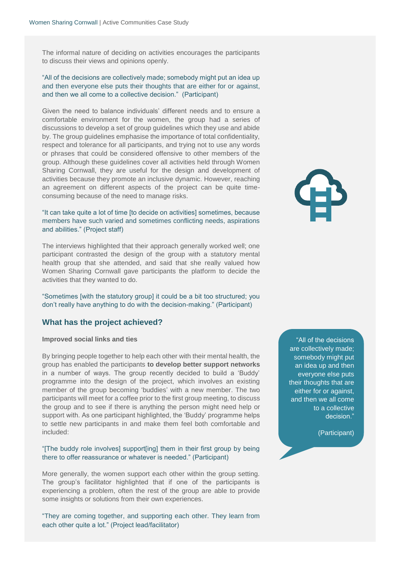The informal nature of deciding on activities encourages the participants to discuss their views and opinions openly.

"All of the decisions are collectively made; somebody might put an idea up and then everyone else puts their thoughts that are either for or against, and then we all come to a collective decision." (Participant)

Given the need to balance individuals' different needs and to ensure a comfortable environment for the women, the group had a series of discussions to develop a set of group guidelines which they use and abide by. The group guidelines emphasise the importance of total confidentiality, respect and tolerance for all participants, and trying not to use any words or phrases that could be considered offensive to other members of the group. Although these guidelines cover all activities held through Women Sharing Cornwall, they are useful for the design and development of activities because they promote an inclusive dynamic. However, reaching an agreement on different aspects of the project can be quite timeconsuming because of the need to manage risks.

#### "It can take quite a lot of time [to decide on activities] sometimes, because members have such varied and sometimes conflicting needs, aspirations and abilities." (Project staff)

The interviews highlighted that their approach generally worked well; one participant contrasted the design of the group with a statutory mental health group that she attended, and said that she really valued how Women Sharing Cornwall gave participants the platform to decide the activities that they wanted to do.

"Sometimes [with the statutory group] it could be a bit too structured; you don't really have anything to do with the decision-making." (Participant)

#### **What has the project achieved?**

#### **Improved social links and ties**

By bringing people together to help each other with their mental health, the group has enabled the participants **to develop better support networks** in a number of ways. The group recently decided to build a 'Buddy' programme into the design of the project, which involves an existing member of the group becoming 'buddies' with a new member. The two participants will meet for a coffee prior to the first group meeting, to discuss the group and to see if there is anything the person might need help or support with. As one participant highlighted, the 'Buddy' programme helps to settle new participants in and make them feel both comfortable and included:

#### "[The buddy role involves] support[ing] them in their first group by being there to offer reassurance or whatever is needed." (Participant)

More generally, the women support each other within the group setting. The group's facilitator highlighted that if one of the participants is experiencing a problem, often the rest of the group are able to provide some insights or solutions from their own experiences.

"They are coming together, and supporting each other. They learn from each other quite a lot." (Project lead/facilitator)

"All of the decisions are collectively made; somebody might put an idea up and then everyone else puts their thoughts that are either for or against, and then we all come to a collective decision."

(Participant)

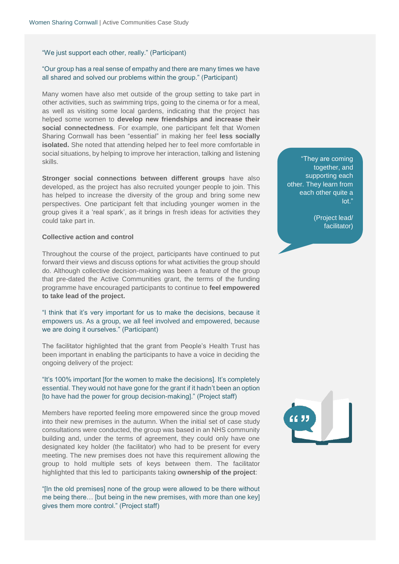"We just support each other, really." (Participant)

#### "Our group has a real sense of empathy and there are many times we have all shared and solved our problems within the group." (Participant)

Many women have also met outside of the group setting to take part in other activities, such as swimming trips, going to the cinema or for a meal, as well as visiting some local gardens, indicating that the project has helped some women to **develop new friendships and increase their social connectedness**. For example, one participant felt that Women Sharing Cornwall has been "essential" in making her feel **less socially isolated.** She noted that attending helped her to feel more comfortable in social situations, by helping to improve her interaction, talking and listening skills.

**Stronger social connections between different groups** have also developed, as the project has also recruited younger people to join. This has helped to increase the diversity of the group and bring some new perspectives. One participant felt that including younger women in the group gives it a 'real spark', as it brings in fresh ideas for activities they could take part in.

#### **Collective action and control**

Throughout the course of the project, participants have continued to put forward their views and discuss options for what activities the group should do. Although collective decision-making was been a feature of the group that pre-dated the Active Communities grant, the terms of the funding programme have encouraged participants to continue to **feel empowered to take lead of the project.** 

"I think that it's very important for us to make the decisions, because it empowers us. As a group, we all feel involved and empowered, because we are doing it ourselves." (Participant)

The facilitator highlighted that the grant from People's Health Trust has been important in enabling the participants to have a voice in deciding the ongoing delivery of the project:

"It's 100% important [for the women to make the decisions]. It's completely essential. They would not have gone for the grant if it hadn't been an option [to have had the power for group decision-making]." (Project staff)

Members have reported feeling more empowered since the group moved into their new premises in the autumn. When the initial set of case study consultations were conducted, the group was based in an NHS community building and, under the terms of agreement, they could only have one designated key holder (the facilitator) who had to be present for every meeting. The new premises does not have this requirement allowing the group to hold multiple sets of keys between them. The facilitator highlighted that this led to participants taking **ownership of the project**:

"[In the old premises] none of the group were allowed to be there without me being there… [but being in the new premises, with more than one key] gives them more control." (Project staff)

"They are coming together, and supporting each other. They learn from each other quite a lot."

> (Project lead/ facilitator)

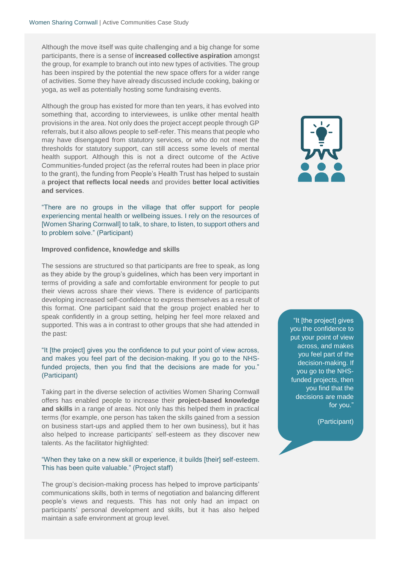Although the move itself was quite challenging and a big change for some participants, there is a sense of **increased collective aspiration** amongst the group, for example to branch out into new types of activities. The group has been inspired by the potential the new space offers for a wider range of activities. Some they have already discussed include cooking, baking or yoga, as well as potentially hosting some fundraising events.

Although the group has existed for more than ten years, it has evolved into something that, according to interviewees, is unlike other mental health provisions in the area. Not only does the project accept people through GP referrals, but it also allows people to self-refer. This means that people who may have disengaged from statutory services, or who do not meet the thresholds for statutory support, can still access some levels of mental health support. Although this is not a direct outcome of the Active Communities-funded project (as the referral routes had been in place prior to the grant), the funding from People's Health Trust has helped to sustain a **project that reflects local needs** and provides **better local activities and services**.

"There are no groups in the village that offer support for people experiencing mental health or wellbeing issues. I rely on the resources of [Women Sharing Cornwall] to talk, to share, to listen, to support others and to problem solve." (Participant)

#### **Improved confidence, knowledge and skills**

The sessions are structured so that participants are free to speak, as long as they abide by the group's guidelines, which has been very important in terms of providing a safe and comfortable environment for people to put their views across share their views. There is evidence of participants developing increased self-confidence to express themselves as a result of this format. One participant said that the group project enabled her to speak confidently in a group setting, helping her feel more relaxed and supported. This was a in contrast to other groups that she had attended in the past:

#### "It [the project] gives you the confidence to put your point of view across, and makes you feel part of the decision-making. If you go to the NHSfunded projects, then you find that the decisions are made for you." (Participant)

Taking part in the diverse selection of activities Women Sharing Cornwall offers has enabled people to increase their **project-based knowledge and skills** in a range of areas. Not only has this helped them in practical terms (for example, one person has taken the skills gained from a session on business start-ups and applied them to her own business), but it has also helped to increase participants' self-esteem as they discover new talents. As the facilitator highlighted:

#### "When they take on a new skill or experience, it builds [their] self-esteem. This has been quite valuable." (Project staff)

The group's decision-making process has helped to improve participants' communications skills, both in terms of negotiation and balancing different people's views and requests. This has not only had an impact on participants' personal development and skills, but it has also helped maintain a safe environment at group level.



"It [the project] gives you the confidence to put your point of view across, and makes you feel part of the decision-making. If you go to the NHSfunded projects, then you find that the decisions are made for you."

(Participant)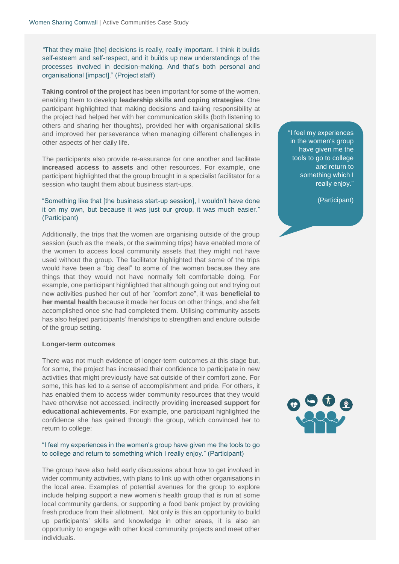*"*That they make [the] decisions is really, really important. I think it builds self-esteem and self-respect, and it builds up new understandings of the processes involved in decision-making. And that's both personal and organisational [impact]." (Project staff)

**Taking control of the project** has been important for some of the women, enabling them to develop **leadership skills and coping strategies**. One participant highlighted that making decisions and taking responsibility at the project had helped her with her communication skills (both listening to others and sharing her thoughts), provided her with organisational skills and improved her perseverance when managing different challenges in other aspects of her daily life.

The participants also provide re-assurance for one another and facilitate **increased access to assets** and other resources. For example, one participant highlighted that the group brought in a specialist facilitator for a session who taught them about business start-ups.

#### "Something like that [the business start-up session], I wouldn't have done it on my own, but because it was just our group, it was much easier." (Participant)

Additionally, the trips that the women are organising outside of the group session (such as the meals, or the swimming trips) have enabled more of the women to access local community assets that they might not have used without the group. The facilitator highlighted that some of the trips would have been a "big deal" to some of the women because they are things that they would not have normally felt comfortable doing. For example, one participant highlighted that although going out and trying out new activities pushed her out of her "comfort zone", it was **beneficial to her mental health** because it made her focus on other things, and she felt accomplished once she had completed them. Utilising community assets has also helped participants' friendships to strengthen and endure outside of the group setting.

#### **Longer-term outcomes**

There was not much evidence of longer-term outcomes at this stage but, for some, the project has increased their confidence to participate in new activities that might previously have sat outside of their comfort zone. For some, this has led to a sense of accomplishment and pride. For others, it has enabled them to access wider community resources that they would have otherwise not accessed, indirectly providing **increased support for educational achievements**. For example, one participant highlighted the confidence she has gained through the group, which convinced her to return to college:

#### "I feel my experiences in the women's group have given me the tools to go to college and return to something which I really enjoy." (Participant)

The group have also held early discussions about how to get involved in wider community activities, with plans to link up with other organisations in the local area. Examples of potential avenues for the group to explore include helping support a new women's health group that is run at some local community gardens, or supporting a food bank project by providing fresh produce from their allotment. Not only is this an opportunity to build up participants' skills and knowledge in other areas, it is also an opportunity to engage with other local community projects and meet other individuals.

"I feel my experiences in the women's group have given me the tools to go to college and return to something which I really enjoy."

(Participant)

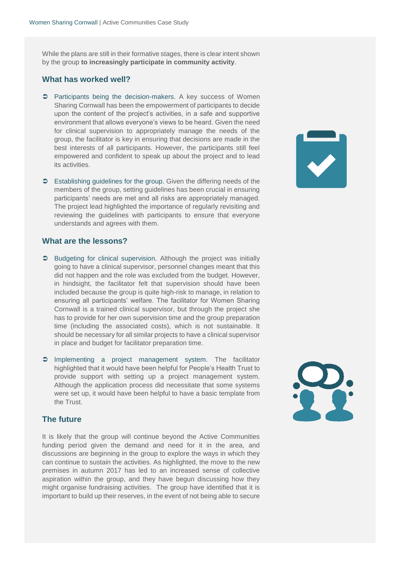While the plans are still in their formative stages, there is clear intent shown by the group **to increasingly participate in community activity**.

#### **What has worked well?**

- **Participants being the decision-makers.** A key success of Women Sharing Cornwall has been the empowerment of participants to decide upon the content of the project's activities, in a safe and supportive environment that allows everyone's views to be heard. Given the need for clinical supervision to appropriately manage the needs of the group, the facilitator is key in ensuring that decisions are made in the best interests of all participants. However, the participants still feel empowered and confident to speak up about the project and to lead its activities.
- Establishing guidelines for the group. Given the differing needs of the members of the group, setting guidelines has been crucial in ensuring participants' needs are met and all risks are appropriately managed. The project lead highlighted the importance of regularly revisiting and reviewing the guidelines with participants to ensure that everyone understands and agrees with them.

#### **What are the lessons?**

- **C** Budgeting for clinical supervision. Although the project was initially going to have a clinical supervisor, personnel changes meant that this did not happen and the role was excluded from the budget. However, in hindsight, the facilitator felt that supervision should have been included because the group is quite high-risk to manage, in relation to ensuring all participants' welfare. The facilitator for Women Sharing Cornwall is a trained clinical supervisor, but through the project she has to provide for her own supervision time and the group preparation time (including the associated costs), which is not sustainable. It should be necessary for all similar projects to have a clinical supervisor in place and budget for facilitator preparation time.
- Implementing a project management system. The facilitator highlighted that it would have been helpful for People's Health Trust to provide support with setting up a project management system. Although the application process did necessitate that some systems were set up, it would have been helpful to have a basic template from the Trust.

#### **The future**

It is likely that the group will continue beyond the Active Communities funding period given the demand and need for it in the area, and discussions are beginning in the group to explore the ways in which they can continue to sustain the activities. As highlighted, the move to the new premises in autumn 2017 has led to an increased sense of collective aspiration within the group, and they have begun discussing how they might organise fundraising activities. The group have identified that it is important to build up their reserves, in the event of not being able to secure

Ş.